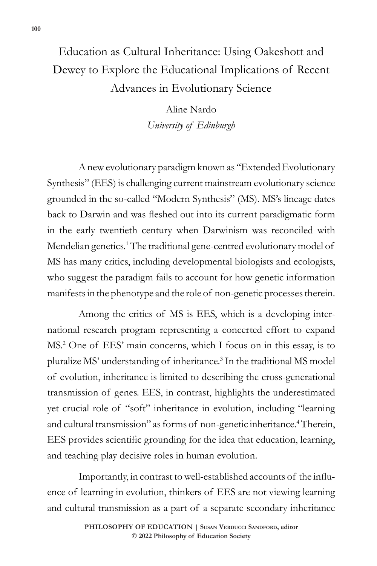# Education as Cultural Inheritance: Using Oakeshott and Dewey to Explore the Educational Implications of Recent Advances in Evolutionary Science

Aline Nardo *University of Edinburgh*

A new evolutionary paradigm known as "Extended Evolutionary Synthesis" (EES) is challenging current mainstream evolutionary science grounded in the so-called "Modern Synthesis" (MS). MS's lineage dates back to Darwin and was fleshed out into its current paradigmatic form in the early twentieth century when Darwinism was reconciled with Mendelian genetics.<sup>1</sup> The traditional gene-centred evolutionary model of MS has many critics, including developmental biologists and ecologists, who suggest the paradigm fails to account for how genetic information manifests in the phenotype and the role of non-genetic processes therein.

Among the critics of MS is EES, which is a developing international research program representing a concerted effort to expand MS.2 One of EES' main concerns, which I focus on in this essay, is to pluralize MS' understanding of inheritance.<sup>3</sup> In the traditional MS model of evolution, inheritance is limited to describing the cross-generational transmission of genes. EES, in contrast, highlights the underestimated yet crucial role of "soft" inheritance in evolution, including "learning and cultural transmission" as forms of non-genetic inheritance.<sup>4</sup> Therein, EES provides scientific grounding for the idea that education, learning, and teaching play decisive roles in human evolution.

Importantly, in contrast to well-established accounts of the influence of learning in evolution, thinkers of EES are not viewing learning and cultural transmission as a part of a separate secondary inheritance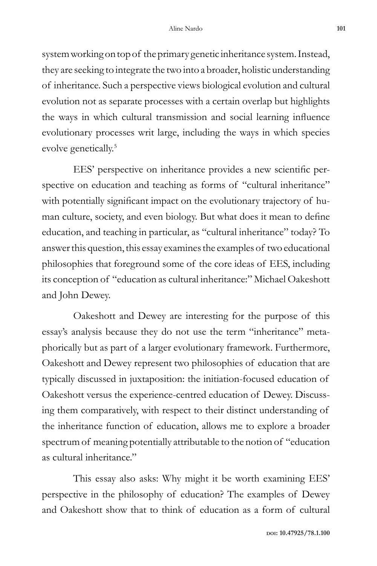system working on top of the primary genetic inheritance system. Instead, they are seeking to integrate the two into a broader, holistic understanding of inheritance. Such a perspective views biological evolution and cultural evolution not as separate processes with a certain overlap but highlights the ways in which cultural transmission and social learning influence evolutionary processes writ large, including the ways in which species evolve genetically.<sup>5</sup>

EES' perspective on inheritance provides a new scientific perspective on education and teaching as forms of "cultural inheritance" with potentially significant impact on the evolutionary trajectory of human culture, society, and even biology. But what does it mean to define education, and teaching in particular, as "cultural inheritance" today? To answer this question, this essay examines the examples of two educational philosophies that foreground some of the core ideas of EES, including its conception of "education as cultural inheritance:" Michael Oakeshott and John Dewey.

Oakeshott and Dewey are interesting for the purpose of this essay's analysis because they do not use the term "inheritance" metaphorically but as part of a larger evolutionary framework. Furthermore, Oakeshott and Dewey represent two philosophies of education that are typically discussed in juxtaposition: the initiation-focused education of Oakeshott versus the experience-centred education of Dewey. Discussing them comparatively, with respect to their distinct understanding of the inheritance function of education, allows me to explore a broader spectrum of meaning potentially attributable to the notion of "education as cultural inheritance."

This essay also asks: Why might it be worth examining EES' perspective in the philosophy of education? The examples of Dewey and Oakeshott show that to think of education as a form of cultural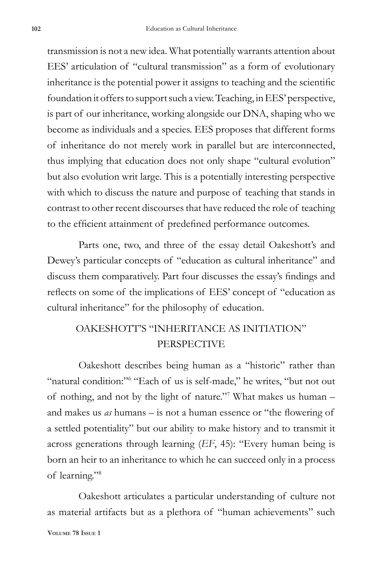transmission is not a new idea. What potentially warrants attention about EES' articulation of "cultural transmission" as a form of evolutionary inheritance is the potential power it assigns to teaching and the scientific foundation it offers to support such a view. Teaching, in EES' perspective, is part of our inheritance, working alongside our DNA, shaping who we become as individuals and a species. EES proposes that different forms of inheritance do not merely work in parallel but are interconnected, thus implying that education does not only shape "cultural evolution" but also evolution writ large. This is a potentially interesting perspective with which to discuss the nature and purpose of teaching that stands in contrast to other recent discourses that have reduced the role of teaching to the efficient attainment of predefined performance outcomes.

Parts one, two, and three of the essay detail Oakeshott's and Dewey's particular concepts of "education as cultural inheritance" and discuss them comparatively. Part four discusses the essay's findings and reflects on some of the implications of EES' concept of "education as cultural inheritance" for the philosophy of education.

## OAKESHOTT'S "INHERITANCE AS INITIATION" PERSPECTIVE

Oakeshott describes being human as a "historic" rather than "natural condition:"<sup>6</sup> "Each of us is self-made," he writes, "but not out of nothing, and not by the light of nature."<sup>7</sup> What makes us human – and makes us *as* humans – is not a human essence or "the flowering of a settled potentiality" but our ability to make history and to transmit it across generations through learning (*EF*, 45): "Every human being is born an heir to an inheritance to which he can succeed only in a process of learning."8

Oakeshott articulates a particular understanding of culture not as material artifacts but as a plethora of "human achievements" such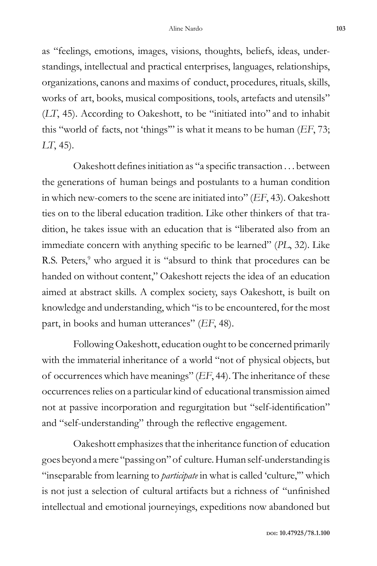as "feelings, emotions, images, visions, thoughts, beliefs, ideas, understandings, intellectual and practical enterprises, languages, relationships, organizations, canons and maxims of conduct, procedures, rituals, skills, works of art, books, musical compositions, tools, artefacts and utensils" (*LT*, 45). According to Oakeshott, to be "initiated into" and to inhabit this "world of facts, not 'things'" is what it means to be human (*EF*, 73; *LT*, 45).

Oakeshott defines initiation as "a specific transaction . . . between the generations of human beings and postulants to a human condition in which new-comers to the scene are initiated into" (*EF*, 43). Oakeshott ties on to the liberal education tradition. Like other thinkers of that tradition, he takes issue with an education that is "liberated also from an immediate concern with anything specific to be learned" (*PL*, 32). Like R.S. Peters,<sup>9</sup> who argued it is "absurd to think that procedures can be handed on without content," Oakeshott rejects the idea of an education aimed at abstract skills. A complex society, says Oakeshott, is built on knowledge and understanding, which "is to be encountered, for the most part, in books and human utterances" (*EF*, 48).

Following Oakeshott, education ought to be concerned primarily with the immaterial inheritance of a world "not of physical objects, but of occurrences which have meanings" (*EF*, 44). The inheritance of these occurrences relies on a particular kind of educational transmission aimed not at passive incorporation and regurgitation but "self-identification" and "self-understanding" through the reflective engagement.

Oakeshott emphasizes that the inheritance function of education goes beyond a mere "passing on" of culture. Human self-understanding is "inseparable from learning to *participate* in what is called 'culture,'" which is not just a selection of cultural artifacts but a richness of "unfinished intellectual and emotional journeyings, expeditions now abandoned but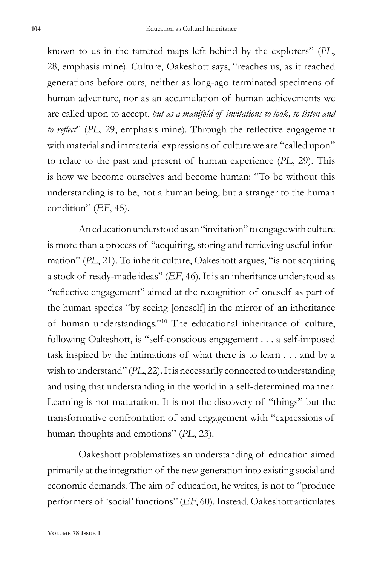known to us in the tattered maps left behind by the explorers" (*PL*, 28, emphasis mine). Culture, Oakeshott says, "reaches us, as it reached generations before ours, neither as long-ago terminated specimens of human adventure, nor as an accumulation of human achievements we are called upon to accept, *but as a manifold of invitations to look, to listen and to reflect*" (*PL*, 29, emphasis mine). Through the reflective engagement with material and immaterial expressions of culture we are "called upon" to relate to the past and present of human experience (*PL*, 29). This is how we become ourselves and become human: "To be without this understanding is to be, not a human being, but a stranger to the human condition" (*EF*, 45).

An education understood as an "invitation" to engage with culture is more than a process of "acquiring, storing and retrieving useful information" (*PL*, 21). To inherit culture, Oakeshott argues, "is not acquiring a stock of ready-made ideas" (*EF*, 46). It is an inheritance understood as "reflective engagement" aimed at the recognition of oneself as part of the human species "by seeing [oneself] in the mirror of an inheritance of human understandings."10 The educational inheritance of culture, following Oakeshott, is "self-conscious engagement . . . a self-imposed task inspired by the intimations of what there is to learn . . . and by a wish to understand" (*PL*, 22). It is necessarily connected to understanding and using that understanding in the world in a self-determined manner. Learning is not maturation. It is not the discovery of "things" but the transformative confrontation of and engagement with "expressions of human thoughts and emotions" (*PL*, 23).

Oakeshott problematizes an understanding of education aimed primarily at the integration of the new generation into existing social and economic demands. The aim of education, he writes, is not to "produce performers of 'social' functions" (*EF*, 60). Instead, Oakeshott articulates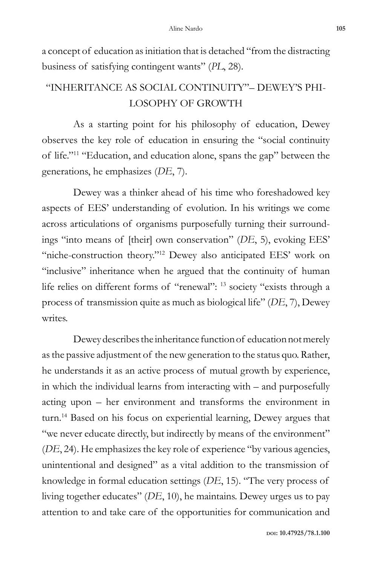a concept of education as initiation that is detached "from the distracting business of satisfying contingent wants" (*PL*, 28).

## "INHERITANCE AS SOCIAL CONTINUITY"– DEWEY'S PHI-LOSOPHY OF GROWTH

As a starting point for his philosophy of education, Dewey observes the key role of education in ensuring the "social continuity of life."11 "Education, and education alone, spans the gap" between the generations, he emphasizes (*DE*, 7).

Dewey was a thinker ahead of his time who foreshadowed key aspects of EES' understanding of evolution. In his writings we come across articulations of organisms purposefully turning their surroundings "into means of [their] own conservation" (*DE*, 5), evoking EES' "niche-construction theory."<sup>12</sup> Dewey also anticipated EES' work on "inclusive" inheritance when he argued that the continuity of human life relies on different forms of "renewal": 13 society "exists through a process of transmission quite as much as biological life" (*DE*, 7), Dewey writes.

Dewey describes the inheritance function of education not merely as the passive adjustment of the new generation to the status quo. Rather, he understands it as an active process of mutual growth by experience, in which the individual learns from interacting with – and purposefully acting upon – her environment and transforms the environment in turn.14 Based on his focus on experiential learning, Dewey argues that "we never educate directly, but indirectly by means of the environment" (*DE*, 24). He emphasizes the key role of experience "by various agencies, unintentional and designed" as a vital addition to the transmission of knowledge in formal education settings (*DE*, 15). "The very process of living together educates" (*DE*, 10), he maintains. Dewey urges us to pay attention to and take care of the opportunities for communication and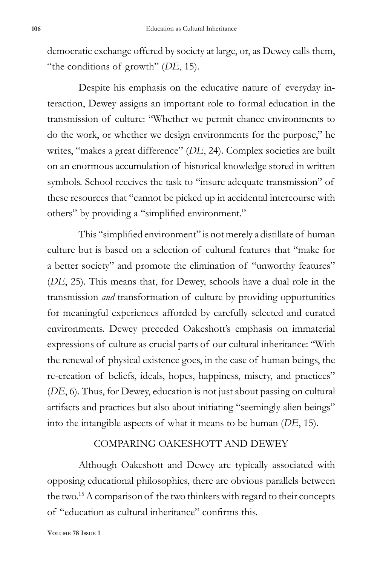democratic exchange offered by society at large, or, as Dewey calls them, "the conditions of growth" (*DE*, 15).

Despite his emphasis on the educative nature of everyday interaction, Dewey assigns an important role to formal education in the transmission of culture: "Whether we permit chance environments to do the work, or whether we design environments for the purpose," he writes, "makes a great difference" (*DE*, 24). Complex societies are built on an enormous accumulation of historical knowledge stored in written symbols. School receives the task to "insure adequate transmission" of these resources that "cannot be picked up in accidental intercourse with others" by providing a "simplified environment."

This "simplified environment" is not merely a distillate of human culture but is based on a selection of cultural features that "make for a better society" and promote the elimination of "unworthy features" (*DE*, 25). This means that, for Dewey, schools have a dual role in the transmission *and* transformation of culture by providing opportunities for meaningful experiences afforded by carefully selected and curated environments. Dewey preceded Oakeshott's emphasis on immaterial expressions of culture as crucial parts of our cultural inheritance: "With the renewal of physical existence goes, in the case of human beings, the re-creation of beliefs, ideals, hopes, happiness, misery, and practices" (*DE*, 6). Thus, for Dewey, education is not just about passing on cultural artifacts and practices but also about initiating "seemingly alien beings" into the intangible aspects of what it means to be human (*DE*, 15).

#### COMPARING OAKESHOTT AND DEWEY

Although Oakeshott and Dewey are typically associated with opposing educational philosophies, there are obvious parallels between the two.15 A comparison of the two thinkers with regard to their concepts of "education as cultural inheritance" confirms this.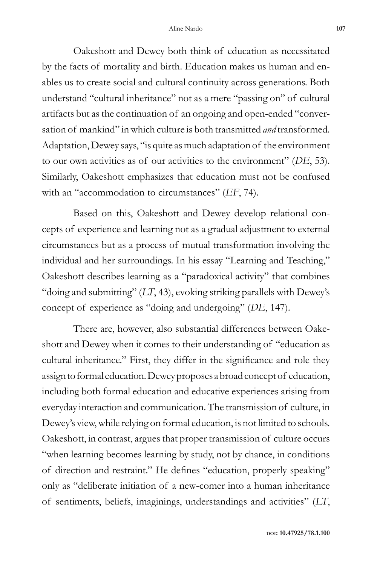Oakeshott and Dewey both think of education as necessitated by the facts of mortality and birth. Education makes us human and enables us to create social and cultural continuity across generations. Both understand "cultural inheritance" not as a mere "passing on" of cultural artifacts but as the continuation of an ongoing and open-ended "conversation of mankind" in which culture is both transmitted *and* transformed. Adaptation, Dewey says, "is quite as much adaptation of the environment to our own activities as of our activities to the environment" (*DE*, 53). Similarly, Oakeshott emphasizes that education must not be confused with an "accommodation to circumstances" (*EF*, 74).

Based on this, Oakeshott and Dewey develop relational concepts of experience and learning not as a gradual adjustment to external circumstances but as a process of mutual transformation involving the individual and her surroundings. In his essay "Learning and Teaching," Oakeshott describes learning as a "paradoxical activity" that combines "doing and submitting" (*LT*, 43), evoking striking parallels with Dewey's concept of experience as "doing and undergoing" (*DE*, 147).

There are, however, also substantial differences between Oakeshott and Dewey when it comes to their understanding of "education as cultural inheritance." First, they differ in the significance and role they assign to formal education. Dewey proposes a broad concept of education, including both formal education and educative experiences arising from everyday interaction and communication. The transmission of culture, in Dewey's view, while relying on formal education, is not limited to schools. Oakeshott, in contrast, argues that proper transmission of culture occurs "when learning becomes learning by study, not by chance, in conditions of direction and restraint." He defines "education, properly speaking" only as "deliberate initiation of a new-comer into a human inheritance of sentiments, beliefs, imaginings, understandings and activities" (*LT*,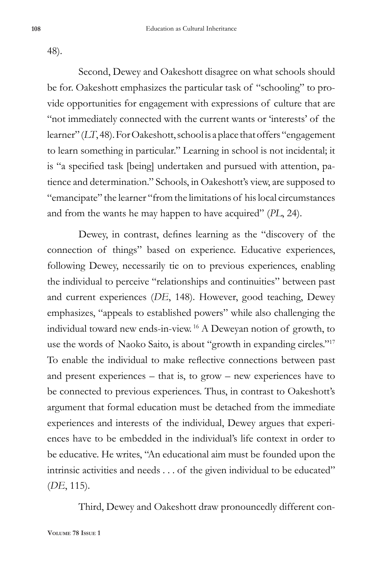48).

Second, Dewey and Oakeshott disagree on what schools should be for. Oakeshott emphasizes the particular task of "schooling" to provide opportunities for engagement with expressions of culture that are "not immediately connected with the current wants or 'interests' of the learner" (*LT*, 48). For Oakeshott, school is a place that offers "engagement to learn something in particular." Learning in school is not incidental; it is "a specified task [being] undertaken and pursued with attention, patience and determination." Schools, in Oakeshott's view, are supposed to "emancipate" the learner "from the limitations of his local circumstances and from the wants he may happen to have acquired" (*PL*, 24).

Dewey, in contrast, defines learning as the "discovery of the connection of things" based on experience. Educative experiences, following Dewey, necessarily tie on to previous experiences, enabling the individual to perceive "relationships and continuities" between past and current experiences (*DE*, 148). However, good teaching, Dewey emphasizes, "appeals to established powers" while also challenging the individual toward new ends-in-view. 16 A Deweyan notion of growth, to use the words of Naoko Saito, is about "growth in expanding circles."17 To enable the individual to make reflective connections between past and present experiences – that is, to grow – new experiences have to be connected to previous experiences. Thus, in contrast to Oakeshott's argument that formal education must be detached from the immediate experiences and interests of the individual, Dewey argues that experiences have to be embedded in the individual's life context in order to be educative. He writes, "An educational aim must be founded upon the intrinsic activities and needs . . . of the given individual to be educated" (*DE*, 115).

Third, Dewey and Oakeshott draw pronouncedly different con-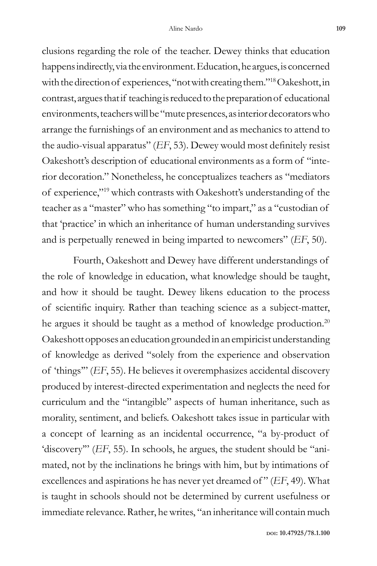clusions regarding the role of the teacher. Dewey thinks that education happens indirectly, via the environment. Education, he argues, is concerned with the direction of experiences, "not with creating them."18 Oakeshott, in contrast, argues that if teaching is reduced to the preparation of educational environments, teachers will be "mute presences, as interior decorators who arrange the furnishings of an environment and as mechanics to attend to the audio-visual apparatus" (*EF*, 53). Dewey would most definitely resist Oakeshott's description of educational environments as a form of "interior decoration." Nonetheless, he conceptualizes teachers as "mediators of experience,"19 which contrasts with Oakeshott's understanding of the teacher as a "master" who has something "to impart," as a "custodian of that 'practice' in which an inheritance of human understanding survives and is perpetually renewed in being imparted to newcomers" (*EF*, 50).

Fourth, Oakeshott and Dewey have different understandings of the role of knowledge in education, what knowledge should be taught, and how it should be taught. Dewey likens education to the process of scientific inquiry. Rather than teaching science as a subject-matter, he argues it should be taught as a method of knowledge production.<sup>20</sup> Oakeshott opposes an education grounded in an empiricist understanding of knowledge as derived "solely from the experience and observation of 'things'" (*EF*, 55). He believes it overemphasizes accidental discovery produced by interest-directed experimentation and neglects the need for curriculum and the "intangible" aspects of human inheritance, such as morality, sentiment, and beliefs. Oakeshott takes issue in particular with a concept of learning as an incidental occurrence, "a by-product of 'discovery'" (*EF*, 55). In schools, he argues, the student should be "animated, not by the inclinations he brings with him, but by intimations of excellences and aspirations he has never yet dreamed of " (*EF*, 49). What is taught in schools should not be determined by current usefulness or immediate relevance. Rather, he writes, "an inheritance will contain much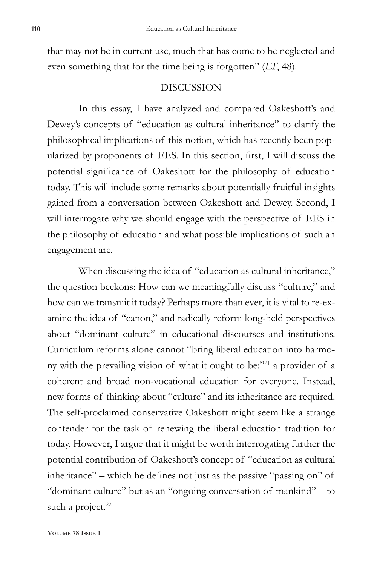that may not be in current use, much that has come to be neglected and even something that for the time being is forgotten" (*LT*, 48).

#### DISCUSSION

In this essay, I have analyzed and compared Oakeshott's and Dewey's concepts of "education as cultural inheritance" to clarify the philosophical implications of this notion, which has recently been popularized by proponents of EES. In this section, first, I will discuss the potential significance of Oakeshott for the philosophy of education today. This will include some remarks about potentially fruitful insights gained from a conversation between Oakeshott and Dewey. Second, I will interrogate why we should engage with the perspective of EES in the philosophy of education and what possible implications of such an engagement are.

When discussing the idea of "education as cultural inheritance," the question beckons: How can we meaningfully discuss "culture," and how can we transmit it today? Perhaps more than ever, it is vital to re-examine the idea of "canon," and radically reform long-held perspectives about "dominant culture" in educational discourses and institutions. Curriculum reforms alone cannot "bring liberal education into harmony with the prevailing vision of what it ought to be:"<sup>21</sup> a provider of a coherent and broad non-vocational education for everyone. Instead, new forms of thinking about "culture" and its inheritance are required. The self-proclaimed conservative Oakeshott might seem like a strange contender for the task of renewing the liberal education tradition for today. However, I argue that it might be worth interrogating further the potential contribution of Oakeshott's concept of "education as cultural inheritance" – which he defines not just as the passive "passing on" of "dominant culture" but as an "ongoing conversation of mankind" – to such a project.<sup>22</sup>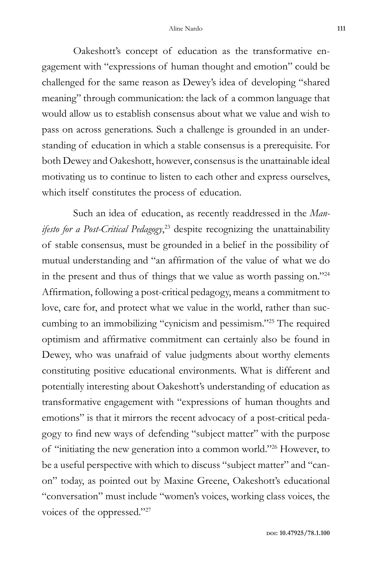Oakeshott's concept of education as the transformative engagement with "expressions of human thought and emotion" could be challenged for the same reason as Dewey's idea of developing "shared meaning" through communication: the lack of a common language that would allow us to establish consensus about what we value and wish to pass on across generations. Such a challenge is grounded in an understanding of education in which a stable consensus is a prerequisite. For both Dewey and Oakeshott, however, consensus is the unattainable ideal motivating us to continue to listen to each other and express ourselves, which itself constitutes the process of education.

Such an idea of education, as recently readdressed in the *Manifesto for a Post-Critical Pedagogy*, 23 despite recognizing the unattainability of stable consensus, must be grounded in a belief in the possibility of mutual understanding and "an affirmation of the value of what we do in the present and thus of things that we value as worth passing on."24 Affirmation, following a post-critical pedagogy, means a commitment to love, care for, and protect what we value in the world, rather than succumbing to an immobilizing "cynicism and pessimism."25 The required optimism and affirmative commitment can certainly also be found in Dewey, who was unafraid of value judgments about worthy elements constituting positive educational environments. What is different and potentially interesting about Oakeshott's understanding of education as transformative engagement with "expressions of human thoughts and emotions" is that it mirrors the recent advocacy of a post-critical pedagogy to find new ways of defending "subject matter" with the purpose of "initiating the new generation into a common world."26 However, to be a useful perspective with which to discuss "subject matter" and "canon" today, as pointed out by Maxine Greene, Oakeshott's educational "conversation" must include "women's voices, working class voices, the voices of the oppressed."27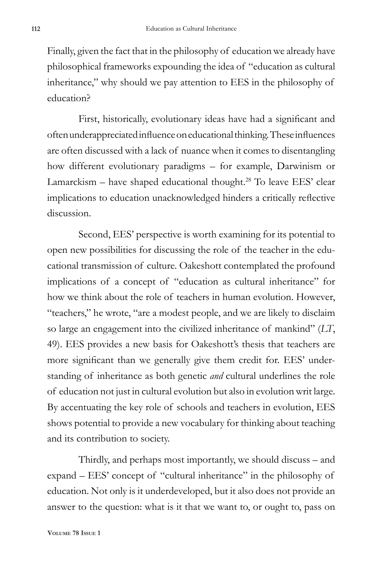Finally, given the fact that in the philosophy of education we already have philosophical frameworks expounding the idea of "education as cultural inheritance," why should we pay attention to EES in the philosophy of education?

First, historically, evolutionary ideas have had a significant and often underappreciated influence on educational thinking. These influences are often discussed with a lack of nuance when it comes to disentangling how different evolutionary paradigms – for example, Darwinism or Lamarckism – have shaped educational thought.<sup>28</sup> To leave EES' clear implications to education unacknowledged hinders a critically reflective discussion.

Second, EES' perspective is worth examining for its potential to open new possibilities for discussing the role of the teacher in the educational transmission of culture. Oakeshott contemplated the profound implications of a concept of "education as cultural inheritance" for how we think about the role of teachers in human evolution. However, "teachers," he wrote, "are a modest people, and we are likely to disclaim so large an engagement into the civilized inheritance of mankind" (*LT*, 49). EES provides a new basis for Oakeshott's thesis that teachers are more significant than we generally give them credit for. EES' understanding of inheritance as both genetic *and* cultural underlines the role of education not just in cultural evolution but also in evolution writ large. By accentuating the key role of schools and teachers in evolution, EES shows potential to provide a new vocabulary for thinking about teaching and its contribution to society.

Thirdly, and perhaps most importantly, we should discuss – and expand – EES' concept of "cultural inheritance" in the philosophy of education. Not only is it underdeveloped, but it also does not provide an answer to the question: what is it that we want to, or ought to, pass on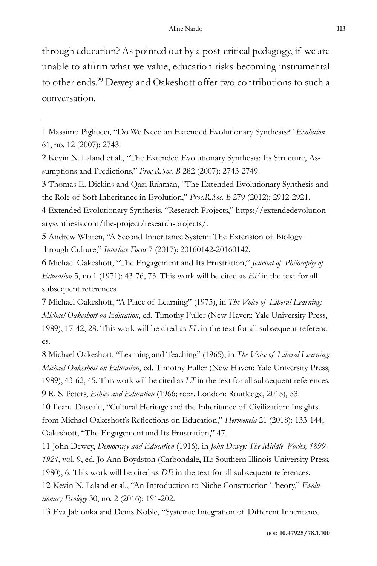through education? As pointed out by a post-critical pedagogy, if we are unable to affirm what we value, education risks becoming instrumental to other ends.29 Dewey and Oakeshott offer two contributions to such a conversation.

3 Thomas E. Dickins and Qazi Rahman, "The Extended Evolutionary Synthesis and the Role of Soft Inheritance in Evolution," *Proc.R.Soc. B* 279 (2012): 2912-2921.

4 Extended Evolutionary Synthesis, "Research Projects," https://extendedevolutionarysynthesis.com/the-project/research-projects/.

5 Andrew Whiten, "A Second Inheritance System: The Extension of Biology through Culture," *Interface Focus* 7 (2017): 20160142-20160142.

6 Michael Oakeshott, "The Engagement and Its Frustration," *Journal of Philosophy of Education* 5, no.1 (1971): 43-76, 73. This work will be cited as *EF* in the text for all subsequent references.

7 Michael Oakeshott, "A Place of Learning" (1975), in *The Voice of Liberal Learning: Michael Oakeshott on Education*, ed. Timothy Fuller (New Haven: Yale University Press, 1989), 17-42, 28. This work will be cited as *PL* in the text for all subsequent references.

8 Michael Oakeshott, "Learning and Teaching" (1965), in *The Voice of Liberal Learning: Michael Oakeshott on Education*, ed. Timothy Fuller (New Haven: Yale University Press, 1989), 43-62, 45. This work will be cited as *LT* in the text for all subsequent references. 9 R. S. Peters, *Ethics and Education* (1966; repr. London: Routledge, 2015), 53.

10 Ileana Dascalu, "Cultural Heritage and the Inheritance of Civilization: Insights from Michael Oakeshott's Reflections on Education," *Hermeneia* 21 (2018): 133-144; Oakeshott, "The Engagement and Its Frustration," 47.

 John Dewey, *Democracy and Education* (1916), in *John Dewey: The Middle Works, 1899-* , vol. 9, ed. Jo Ann Boydston (Carbondale, IL: Southern Illinois University Press, 1980), 6. This work will be cited as *DE* in the text for all subsequent references. Kevin N. Laland et al., "An Introduction to Niche Construction Theory," *Evolu-*

*tionary Ecology* 30, no. 2 (2016): 191-202.

13 Eva Jablonka and Denis Noble, "Systemic Integration of Different Inheritance

<sup>1</sup> Massimo Pigliucci, "Do We Need an Extended Evolutionary Synthesis?" *Evolution*  61, no. 12 (2007): 2743.

<sup>2</sup> Kevin N. Laland et al., "The Extended Evolutionary Synthesis: Its Structure, Assumptions and Predictions," *Proc.R.Soc. B* 282 (2007): 2743-2749.